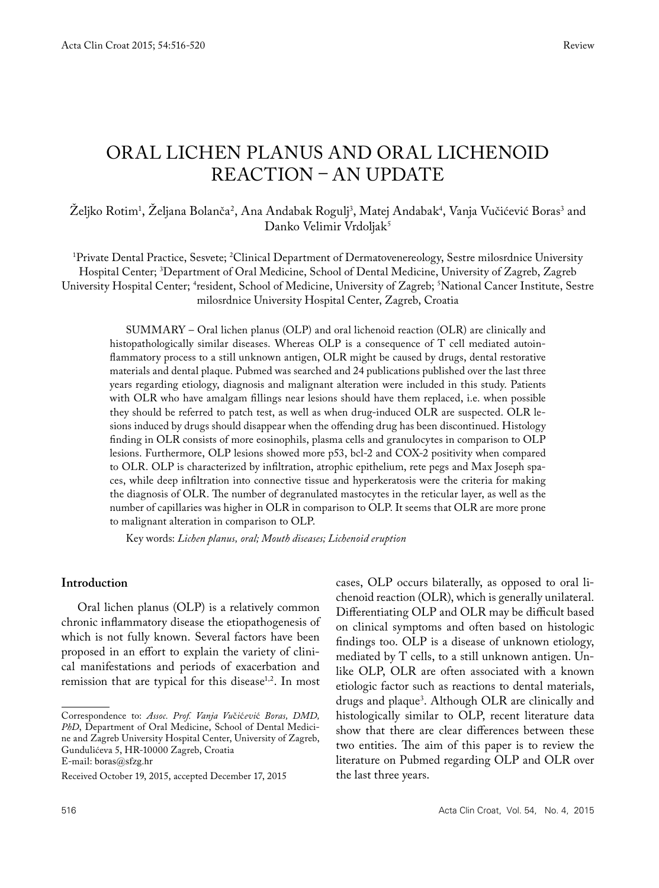# ORAL LICHEN PLANUS AND ORAL LICHENOID REACTION – AN UPDATE

Zeljko Rotim<sup>1</sup>, Zeljana Bolanča<sup>2</sup>, Ana Andabak Rogulj<sup>3</sup>, Matej Andabak<sup>4</sup>, Vanja Vučićević Boras<sup>3</sup> and Danko Velimir Vrdoljak<sup>5</sup>

1 Private Dental Practice, Sesvete; 2 Clinical Department of Dermatovenereology, Sestre milosrdnice University Hospital Center; 3 Department of Oral Medicine, School of Dental Medicine, University of Zagreb, Zagreb University Hospital Center; <sup>4</sup>resident, School of Medicine, University of Zagreb; <sup>5</sup>National Cancer Institute, Sestre milosrdnice University Hospital Center, Zagreb, Croatia

SUMMARY – Oral lichen planus (OLP) and oral lichenoid reaction (OLR) are clinically and histopathologically similar diseases. Whereas OLP is a consequence of T cell mediated autoinflammatory process to a still unknown antigen, OLR might be caused by drugs, dental restorative materials and dental plaque. Pubmed was searched and 24 publications published over the last three years regarding etiology, diagnosis and malignant alteration were included in this study. Patients with OLR who have amalgam fillings near lesions should have them replaced, i.e. when possible they should be referred to patch test, as well as when drug-induced OLR are suspected. OLR lesions induced by drugs should disappear when the offending drug has been discontinued. Histology finding in OLR consists of more eosinophils, plasma cells and granulocytes in comparison to OLP lesions. Furthermore, OLP lesions showed more p53, bcl-2 and COX-2 positivity when compared to OLR. OLP is characterized by infiltration, atrophic epithelium, rete pegs and Max Joseph spaces, while deep infiltration into connective tissue and hyperkeratosis were the criteria for making the diagnosis of OLR. The number of degranulated mastocytes in the reticular layer, as well as the number of capillaries was higher in OLR in comparison to OLP. It seems that OLR are more prone to malignant alteration in comparison to OLP.

Key words: *Lichen planus, oral; Mouth diseases; Lichenoid eruption*

#### **Introduction**

Oral lichen planus (OLP) is a relatively common chronic inflammatory disease the etiopathogenesis of which is not fully known. Several factors have been proposed in an effort to explain the variety of clinical manifestations and periods of exacerbation and remission that are typical for this disease<sup>1,2</sup>. In most

cases, OLP occurs bilaterally, as opposed to oral lichenoid reaction (OLR), which is generally unilateral. Differentiating OLP and OLR may be difficult based on clinical symptoms and often based on histologic findings too. OLP is a disease of unknown etiology, mediated by T cells, to a still unknown antigen. Unlike OLP, OLR are often associated with a known etiologic factor such as reactions to dental materials, drugs and plaque3 . Although OLR are clinically and histologically similar to OLP, recent literature data show that there are clear differences between these two entities. The aim of this paper is to review the literature on Pubmed regarding OLP and OLR over the last three years.

Correspondence to: *Assoc. Prof. Vanja Vu*č*i*ć*evi*ć *Boras, DMD, PhD*, Department of Oral Medicine, School of Dental Medicine and Zagreb University Hospital Center, University of Zagreb, Gundulićeva 5, HR-10000 Zagreb, Croatia E-mail: boras@sfzg.hr

Received October 19, 2015, accepted December 17, 2015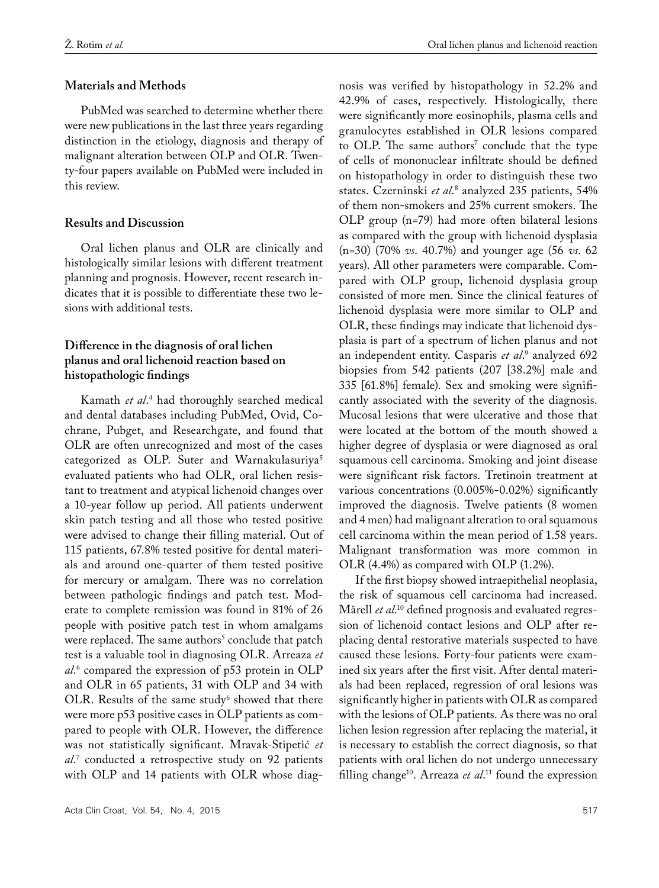## **Materials and Methods**

PubMed was searched to determine whether there were new publications in the last three years regarding distinction in the etiology, diagnosis and therapy of malignant alteration between OLP and OLR. Twenty-four papers available on PubMed were included in this review.

## **Results and Discussion**

Oral lichen planus and OLR are clinically and histologically similar lesions with different treatment planning and prognosis. However, recent research indicates that it is possible to differentiate these two lesions with additional tests.

# **Difference in the diagnosis of oral lichen planus and oral lichenoid reaction based on histopathologic findings**

Kamath *et al*. 4 had thoroughly searched medical and dental databases including PubMed, Ovid, Cochrane, Pubget, and Researchgate, and found that OLR are often unrecognized and most of the cases categorized as OLP. Suter and Warnakulasuriya<sup>5</sup> evaluated patients who had OLR, oral lichen resistant to treatment and atypical lichenoid changes over a 10-year follow up period. All patients underwent skin patch testing and all those who tested positive were advised to change their filling material. Out of 115 patients, 67.8% tested positive for dental materials and around one-quarter of them tested positive for mercury or amalgam. There was no correlation between pathologic findings and patch test. Moderate to complete remission was found in 81% of 26 people with positive patch test in whom amalgams were replaced. The same authors<sup>5</sup> conclude that patch test is a valuable tool in diagnosing OLR. Arreaza *et al*. 6 compared the expression of p53 protein in OLP and OLR in 65 patients, 31 with OLP and 34 with OLR. Results of the same study<sup>6</sup> showed that there were more p53 positive cases in OLP patients as compared to people with OLR. However, the difference was not statistically significant. Mravak-Stipetić *et al*. 7 conducted a retrospective study on 92 patients with OLP and 14 patients with OLR whose diagnosis was verified by histopathology in 52.2% and 42.9% of cases, respectively. Histologically, there were significantly more eosinophils, plasma cells and granulocytes established in OLR lesions compared to OLP. The same authors' conclude that the type of cells of mononuclear infiltrate should be defined on histopathology in order to distinguish these two states. Czerninski *et al*. 8 analyzed 235 patients, 54% of them non-smokers and 25% current smokers. The OLP group (n=79) had more often bilateral lesions as compared with the group with lichenoid dysplasia (n=30) (70% *vs*. 40.7%) and younger age (56 *vs*. 62 years). All other parameters were comparable. Compared with OLP group, lichenoid dysplasia group consisted of more men. Since the clinical features of lichenoid dysplasia were more similar to OLP and OLR, these findings may indicate that lichenoid dysplasia is part of a spectrum of lichen planus and not an independent entity. Casparis *et al*. 9 analyzed 692 biopsies from 542 patients (207 [38.2%] male and 335 [61.8%] female). Sex and smoking were significantly associated with the severity of the diagnosis. Mucosal lesions that were ulcerative and those that were located at the bottom of the mouth showed a higher degree of dysplasia or were diagnosed as oral squamous cell carcinoma. Smoking and joint disease were significant risk factors. Tretinoin treatment at various concentrations (0.005%-0.02%) significantly improved the diagnosis. Twelve patients (8 women and 4 men) had malignant alteration to oral squamous cell carcinoma within the mean period of 1.58 years. Malignant transformation was more common in OLR (4.4%) as compared with OLP (1.2%).

If the first biopsy showed intraepithelial neoplasia, the risk of squamous cell carcinoma had increased. Mårell *et al*. 10 defined prognosis and evaluated regression of lichenoid contact lesions and OLP after replacing dental restorative materials suspected to have caused these lesions. Forty-four patients were examined six years after the first visit. After dental materials had been replaced, regression of oral lesions was significantly higher in patients with OLR as compared with the lesions of OLP patients. As there was no oral lichen lesion regression after replacing the material, it is necessary to establish the correct diagnosis, so that patients with oral lichen do not undergo unnecessary filling change10. Arreaza *et al*. 11 found the expression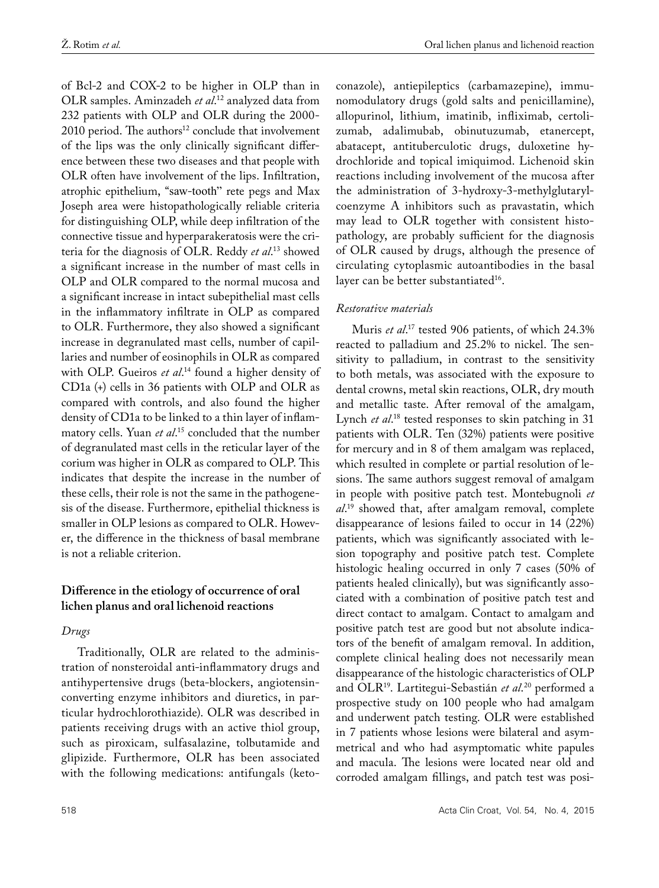of Bcl-2 and COX-2 to be higher in OLP than in OLR samples. Aminzadeh *et al*. 12 analyzed data from 232 patients with OLP and OLR during the 2000-  $2010$  period. The authors<sup>12</sup> conclude that involvement of the lips was the only clinically significant difference between these two diseases and that people with OLR often have involvement of the lips. Infiltration, atrophic epithelium, "saw-tooth" rete pegs and Max Joseph area were histopathologically reliable criteria for distinguishing OLP, while deep infiltration of the connective tissue and hyperparakeratosis were the criteria for the diagnosis of OLR. Reddy *et al*. 13 showed a significant increase in the number of mast cells in OLP and OLR compared to the normal mucosa and a significant increase in intact subepithelial mast cells in the inflammatory infiltrate in OLP as compared to OLR. Furthermore, they also showed a significant increase in degranulated mast cells, number of capillaries and number of eosinophils in OLR as compared with OLP. Gueiros *et al*. 14 found a higher density of CD1a (+) cells in 36 patients with OLP and OLR as compared with controls, and also found the higher density of CD1a to be linked to a thin layer of inflammatory cells. Yuan *et al*. 15 concluded that the number of degranulated mast cells in the reticular layer of the corium was higher in OLR as compared to OLP. This indicates that despite the increase in the number of these cells, their role is not the same in the pathogenesis of the disease. Furthermore, epithelial thickness is smaller in OLP lesions as compared to OLR. However, the difference in the thickness of basal membrane is not a reliable criterion.

## **Difference in the etiology of occurrence of oral lichen planus and oral lichenoid reactions**

#### *Drugs*

Traditionally, OLR are related to the administration of nonsteroidal anti-inflammatory drugs and antihypertensive drugs (beta-blockers, angiotensinconverting enzyme inhibitors and diuretics, in particular hydrochlorothiazide). OLR was described in patients receiving drugs with an active thiol group, such as piroxicam, sulfasalazine, tolbutamide and glipizide. Furthermore, OLR has been associated with the following medications: antifungals (keto-

conazole), antiepileptics (carbamazepine), immunomodulatory drugs (gold salts and penicillamine), allopurinol, lithium, imatinib, infliximab, certolizumab, adalimubab, obinutuzumab, etanercept, abatacept, antituberculotic drugs, duloxetine hydrochloride and topical imiquimod. Lichenoid skin reactions including involvement of the mucosa after the administration of 3-hydroxy-3-methylglutarylcoenzyme A inhibitors such as pravastatin, which may lead to OLR together with consistent histopathology, are probably sufficient for the diagnosis of OLR caused by drugs, although the presence of circulating cytoplasmic autoantibodies in the basal layer can be better substantiated<sup>16</sup>.

#### *Restorative materials*

Muris *et al*. 17 tested 906 patients, of which 24.3% reacted to palladium and 25.2% to nickel. The sensitivity to palladium, in contrast to the sensitivity to both metals, was associated with the exposure to dental crowns, metal skin reactions, OLR, dry mouth and metallic taste. After removal of the amalgam, Lynch *et al*.<sup>18</sup> tested responses to skin patching in 31 patients with OLR. Ten (32%) patients were positive for mercury and in 8 of them amalgam was replaced, which resulted in complete or partial resolution of lesions. The same authors suggest removal of amalgam in people with positive patch test. Montebugnoli *et al*. 19 showed that, after amalgam removal, complete disappearance of lesions failed to occur in 14 (22%) patients, which was significantly associated with lesion topography and positive patch test. Complete histologic healing occurred in only 7 cases (50% of patients healed clinically), but was significantly associated with a combination of positive patch test and direct contact to amalgam. Contact to amalgam and positive patch test are good but not absolute indicators of the benefit of amalgam removal. In addition, complete clinical healing does not necessarily mean disappearance of the histologic characteristics of OLP and OLR19. Lartitegui-Sebastián *et al*. 20 performed a prospective study on 100 people who had amalgam and underwent patch testing. OLR were established in 7 patients whose lesions were bilateral and asymmetrical and who had asymptomatic white papules and macula. The lesions were located near old and corroded amalgam fillings, and patch test was posi-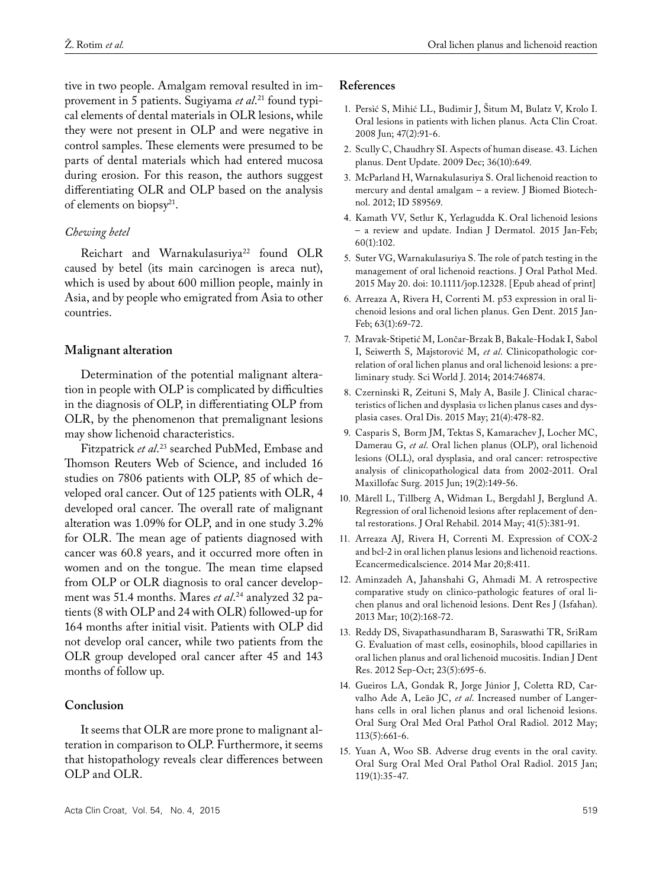tive in two people. Amalgam removal resulted in improvement in 5 patients. Sugiyama *et al*. 21 found typical elements of dental materials in OLR lesions, while they were not present in OLP and were negative in control samples. These elements were presumed to be parts of dental materials which had entered mucosa during erosion. For this reason, the authors suggest differentiating OLR and OLP based on the analysis of elements on biopsy<sup>21</sup>.

## *Chewing betel*

Reichart and Warnakulasuriya<sup>22</sup> found OLR caused by betel (its main carcinogen is areca nut), which is used by about 600 million people, mainly in Asia, and by people who emigrated from Asia to other countries.

## **Malignant alteration**

Determination of the potential malignant alteration in people with OLP is complicated by difficulties in the diagnosis of OLP, in differentiating OLP from OLR, by the phenomenon that premalignant lesions may show lichenoid characteristics.

Fitzpatrick *et al*. 23 searched PubMed, Embase and Thomson Reuters Web of Science, and included 16 studies on 7806 patients with OLP, 85 of which developed oral cancer. Out of 125 patients with OLR, 4 developed oral cancer. The overall rate of malignant alteration was 1.09% for OLP, and in one study 3.2% for OLR. The mean age of patients diagnosed with cancer was 60.8 years, and it occurred more often in women and on the tongue. The mean time elapsed from OLP or OLR diagnosis to oral cancer development was 51.4 months. Mares *et al*. 24 analyzed 32 patients (8 with OLP and 24 with OLR) followed-up for 164 months after initial visit. Patients with OLP did not develop oral cancer, while two patients from the OLR group developed oral cancer after 45 and 143 months of follow up.

## **Conclusion**

It seems that OLR are more prone to malignant alteration in comparison to OLP. Furthermore, it seems that histopathology reveals clear differences between OLP and OLR.

#### **References**

- 1. Persić S, Mihić LL, Budimir J, Šitum M, Bulatz V, Krolo I. Oral lesions in patients with lichen planus. Acta Clin Croat. 2008 Jun; 47(2):91-6.
- 2. Scully C, Chaudhry SI. Aspects of human disease. 43. Lichen planus. Dent Update. 2009 Dec; 36(10):649.
- 3. McParland H, Warnakulasuriya S. Oral lichenoid reaction to mercury and dental amalgam – a review. J Biomed Biotechnol. 2012; ID 589569.
- 4. Kamath VV, Setlur K, Yerlagudda K. Oral lichenoid lesions – a review and update. Indian J Dermatol. 2015 Jan-Feb; 60(1):102.
- 5. Suter VG, Warnakulasuriya S. The role of patch testing in the management of oral lichenoid reactions. J Oral Pathol Med. 2015 May 20. doi: 10.1111/jop.12328. [Epub ahead of print]
- 6. Arreaza A, Rivera H, Correnti M. p53 expression in oral lichenoid lesions and oral lichen planus. Gen Dent. 2015 Jan-Feb; 63(1):69-72.
- 7. Mravak-Stipetić M, Lončar-Brzak B, Bakale-Hodak I, Sabol I, Seiwerth S, Majstorović M, *et al*. Clinicopathologic correlation of oral lichen planus and oral lichenoid lesions: a preliminary study. Sci World J. 2014; 2014:746874.
- 8. Czerninski R, Zeituni S, Maly A, Basile J. Clinical characteristics of lichen and dysplasia *vs* lichen planus cases and dysplasia cases. Oral Dis. 2015 May; 21(4):478-82.
- 9. Casparis S, Borm JM, Tektas S, Kamarachev J, Locher MC, Damerau G, *et al*. Oral lichen planus (OLP), oral lichenoid lesions (OLL), oral dysplasia, and oral cancer: retrospective analysis of clinicopathological data from 2002-2011. Oral Maxillofac Surg. 2015 Jun; 19(2):149-56.
- 10. Mårell L, Tillberg A, Widman L, Bergdahl J, Berglund A. Regression of oral lichenoid lesions after replacement of dental restorations. J Oral Rehabil. 2014 May; 41(5):381-91.
- 11. Arreaza AJ, Rivera H, Correnti M. Expression of COX-2 and bcl-2 in oral lichen planus lesions and lichenoid reactions. Ecancermedicalscience. 2014 Mar 20;8:411.
- 12. Aminzadeh A, Jahanshahi G, Ahmadi M. A retrospective comparative study on clinico-pathologic features of oral lichen planus and oral lichenoid lesions. Dent Res J (Isfahan). 2013 Mar; 10(2):168-72.
- 13. Reddy DS, Sivapathasundharam B, Saraswathi TR, SriRam G. Evaluation of mast cells, eosinophils, blood capillaries in oral lichen planus and oral lichenoid mucositis. Indian J Dent Res. 2012 Sep-Oct; 23(5):695-6.
- 14. Gueiros LA, Gondak R, Jorge Júnior J, Coletta RD, Carvalho Ade A, Leão JC, *et al*. Increased number of Langerhans cells in oral lichen planus and oral lichenoid lesions. Oral Surg Oral Med Oral Pathol Oral Radiol. 2012 May; 113(5):661-6.
- 15. Yuan A, Woo SB. Adverse drug events in the oral cavity. Oral Surg Oral Med Oral Pathol Oral Radiol. 2015 Jan; 119(1):35-47.